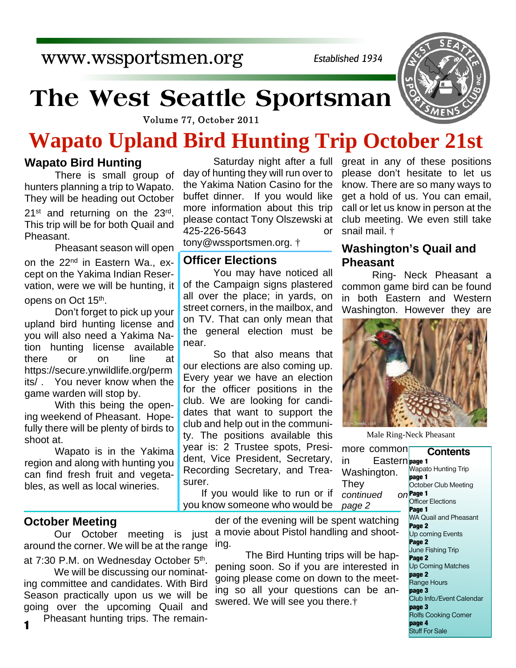www.wssportsmen.org

*Established 1934*

# **The West Seattle Sportsman**

Volume 77, October 2011

# **Wapato Upland Bird Hunting Trip October 21st**

# **Wapato Bird Hunting**

There is small group of hunters planning a trip to Wapato. They will be heading out October  $21<sup>st</sup>$  and returning on the  $23<sup>rd</sup>$ . This trip will be for both Quail and Pheasant.

Pheasant season will open

on the 22<sup>nd</sup> in Eastern Wa., except on the Yakima Indian Reservation, were we will be hunting, it

opens on Oct 15<sup>th</sup>.

Don't forget to pick up your upland bird hunting license and you will also need a Yakima Nation hunting license available there or on line at https://secure.ynwildlife.org/perm its/ . You never know when the game warden will stop by.

With this being the opening weekend of Pheasant. Hopefully there will be plenty of birds to shoot at.

Wapato is in the Yakima region and along with hunting you can find fresh fruit and vegetables, as well as local wineries.

# **October Meeting**

around the corner. We will be at the range

at 7:30 P.M. on Wednesday October 5<sup>th</sup>.

 We will be discussing our nominating committee and candidates. With Bird Season practically upon us we will be going over the upcoming Quail and

Pheasant hunting trips. The remain-

Saturday night after a full day of hunting they will run over to the Yakima Nation Casino for the buffet dinner. If you would like more information about this trip please contact Tony Olszewski at 425-226-5643 or tony@wssportsmen.org. †

# **Officer Elections**

You may have noticed all of the Campaign signs plastered all over the place; in yards, on street corners, in the mailbox, and on TV. That can only mean that the general election must be near.

So that also means that our elections are also coming up. Every year we have an election for the officer positions in the club. We are looking for candidates that want to support the club and help out in the community. The positions available this year is: 2 Trustee spots, President, Vice President, Secretary, Recording Secretary, and Treasurer.

If you would like to run or if you know someone who would be  $continued$ *page 2*

great in any of these positions please don't hesitate to let us know. There are so many ways to get a hold of us. You can email, call or let us know in person at the club meeting. We even still take snail mail. †

# **Washington's Quail and Pheasant**

Ring- Neck Pheasant a common game bird can be found in both Eastern and Western Washington. However they are



Male Ring-Neck Pheasant

**Contents page 1** in Eastern Wapato Hunting Trip **page 1** October Club Meeting  $\rho$  $P$ age 1 Officer Elections **Page 1** WA Quail and Pheasant **Page 2** Up coming Events **Page 2** June Fishing Trip **Page 2** Up Coming Matches **page 2** Range Hours **page 3** Club Info./Event Calendar **page 3** Rolfs Cooking Corner **page 4** Stuff For Sale more common Washington. der of the evening will be spent watching

 Our October meeting is just a movie about Pistol handling and shooting.

**They** 

 The Bird Hunting trips will be happening soon. So if you are interested in going please come on down to the meeting so all your questions can be answered. We will see you there.†

**1**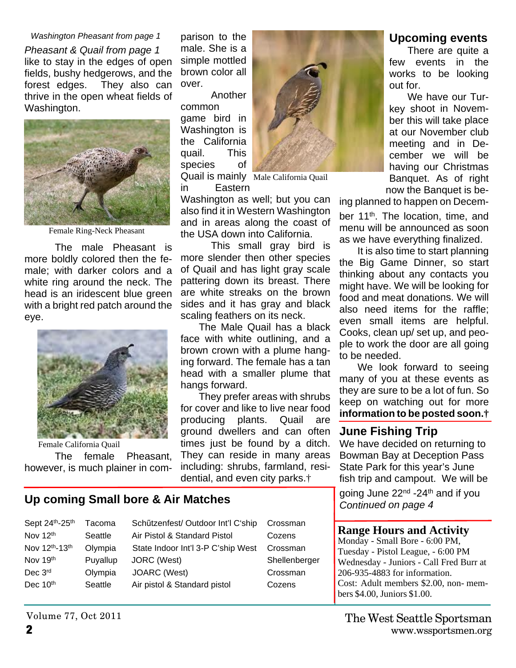#### *Washington Pheasant from page 1*

*Pheasant & Quail from page 1* like to stay in the edges of open fields, bushy hedgerows, and the forest edges. They also can thrive in the open wheat fields of Washington.



Female Ring-Neck Pheasant

The male Pheasant is more boldly colored then the female; with darker colors and a white ring around the neck. The head is an iridescent blue green with a bright red patch around the eye.



The female Pheasant, however, is much plainer in comparison to the male. She is a simple mottled brown color all over.

Another common game bird in Washington is the California quail. This species of Quail is mainly Male California Quailin Eastern



Washington as well; but you can also find it in Western Washington and in areas along the coast of the USA down into California.

This small gray bird is more slender then other species of Quail and has light gray scale pattering down its breast. There are white streaks on the brown sides and it has gray and black scaling feathers on its neck.

The Male Quail has a black face with white outlining, and a brown crown with a plume hanging forward. The female has a tan head with a smaller plume that hangs forward.

They prefer areas with shrubs for cover and like to live near food producing plants. Quail are ground dwellers and can often times just be found by a ditch. They can reside in many areas including: shrubs, farmland, residential, and even city parks.†

## **Up coming Small bore & Air Matches**

| Sept 24th-25th | Tacoma   | Schützenfest/ Outdoor Int'l C'ship | Crossman      |
|----------------|----------|------------------------------------|---------------|
| Nov 12th       | Seattle  | Air Pistol & Standard Pistol       | Cozens        |
| Nov 12th-13th  | Olympia  | State Indoor Int'l 3-P C'ship West | Crossman      |
| Nov 19th       | Puyallup | JORC (West)                        | Shellenberger |
| Dec 3rd        | Olympia  | JOARC (West)                       | Crossman      |
| Dec 10th       | Seattle  | Air pistol & Standard pistol       | Cozens        |

We have decided on returning to

Bowman Bay at Deception Pass State Park for this year's June fish trip and campout. We will be

*Continued on page 4*

### **Range Hours and Activity**

Monday - Small Bore - 6:00 PM, Tuesday - Pistol League, - 6:00 PM Wednesday - Juniors - Call Fred Burr at 206-935-4883 for information. Cost: Adult members \$2.00, non- members \$4.00, Juniors \$1.00.

# **Upcoming events**

There are quite a few events in the works to be looking out for.

We have our Turkey shoot in November this will take place at our November club meeting and in December we will be having our Christmas Banquet. As of right now the Banquet is be-

ing planned to happen on Decem-

ber 11<sup>th</sup>. The location, time, and menu will be announced as soon as we have everything finalized.

It is also time to start planning the Big Game Dinner, so start thinking about any contacts you might have. We will be looking for food and meat donations. We will also need items for the raffle; even small items are helpful. Cooks, clean up/ set up, and people to work the door are all going to be needed.

We look forward to seeing many of you at these events as they are sure to be a lot of fun. So keep on watching out for more **information to be posted soon.†**

# **June Fishing Trip**

going June 22nd -24th and if you

Volume 77, Oct 2011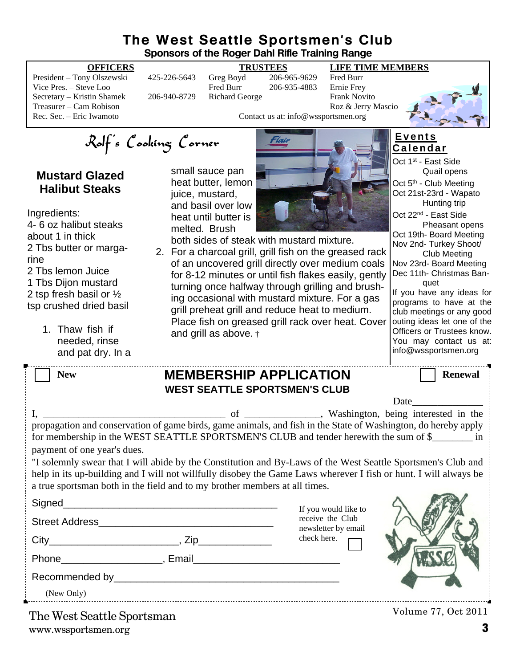# **The West Seattle Sportsmen's Club Sponsors of the Roger Dahl Rifle Training Range**

President – Tony Olszewski 425-226-5643 Greg Boyd 206-965-9629 Fred Burr Vice Pres. – Steve Loo Fred Burr 206-935-4883 Secretary – Kristin Shamek 206-940-8729 Richard George Frank Novito Treasurer – Cam Robison Roz & Jerry Mascio<br>
Rec. Sec. – Eric Iwamoto Roz & Jerry Mascio<br>
Contact us at: info@wssportsmen.org

**OFFICERS TRUSTEES LIFE TIME MEMBERS**

**E v e n t s C a l e n d a r**

Rolf's Cooking Corner

# **Mustard Glazed Halibut Steaks**

Ingredients: 4- 6 oz halibut steaks about 1 in thick 2 Tbs butter or margarine 2 Tbs lemon Juice 1 Tbs Dijon mustard 2 tsp fresh basil or ½ tsp crushed dried basil

> 1. Thaw fish if needed, rinse and pat dry. In a

small sauce pan heat butter, lemon juice, mustard, and basil over low heat until butter is melted. Brush



Contact us at: info@wssportsmen.org

both sides of steak with mustard mixture.

2. For a charcoal grill, grill fish on the greased rack of an uncovered grill directly over medium coals for 8-12 minutes or until fish flakes easily, gently turning once halfway through grilling and brushing occasional with mustard mixture. For a gas grill preheat grill and reduce heat to medium. Place fish on greased grill rack over heat. Cover and grill as above. †

| <b>New</b>                           |                                                                                                                                                                                                                                | <b>MEMBERSHIP APPLICATION</b>                                                                                                                                                                                                    | <b>Renewal</b> |  |  |
|--------------------------------------|--------------------------------------------------------------------------------------------------------------------------------------------------------------------------------------------------------------------------------|----------------------------------------------------------------------------------------------------------------------------------------------------------------------------------------------------------------------------------|----------------|--|--|
| <b>WEST SEATTLE SPORTSMEN'S CLUB</b> |                                                                                                                                                                                                                                |                                                                                                                                                                                                                                  |                |  |  |
|                                      |                                                                                                                                                                                                                                |                                                                                                                                                                                                                                  | Date           |  |  |
| payment of one year's dues.          |                                                                                                                                                                                                                                | propagation and conservation of game birds, game animals, and fish in the State of Washington, do hereby apply<br>for membership in the WEST SEATTLE SPORTSMEN'S CLUB and tender herewith the sum of \$                          |                |  |  |
|                                      | a true sportsman both in the field and to my brother members at all times.                                                                                                                                                     | "I solemnly swear that I will abide by the Constitution and By-Laws of the West Seattle Sportsmen's Club and<br>help in its up-building and I will not willfully disobey the Game Laws wherever I fish or hunt. I will always be |                |  |  |
|                                      |                                                                                                                                                                                                                                | If you would like to                                                                                                                                                                                                             |                |  |  |
|                                      |                                                                                                                                                                                                                                | receive the Club<br>newsletter by email                                                                                                                                                                                          |                |  |  |
|                                      |                                                                                                                                                                                                                                | check here.                                                                                                                                                                                                                      |                |  |  |
|                                      |                                                                                                                                                                                                                                |                                                                                                                                                                                                                                  |                |  |  |
|                                      | Recommended by President President President President President President President President President President President President President President President President President President President President Preside |                                                                                                                                                                                                                                  |                |  |  |
| (New Only)                           |                                                                                                                                                                                                                                |                                                                                                                                                                                                                                  |                |  |  |

www.wssportsmen.org **3** The West Seattle Sportsman

Volume 77, Oct 2011